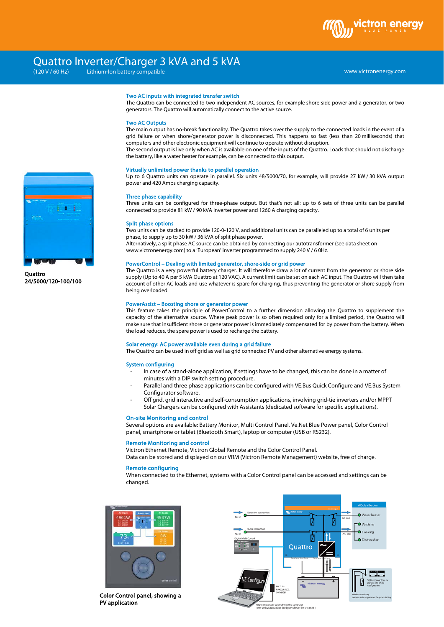# Quattro Inverter/Charger 3 kVA and 5 kVA

Lithium-Ion battery compatible

www.victronenergy.com

#### Two AC inputs with integrated transfer switch

The Quattro can be connected to two independent AC sources, for example shore-side power and a generator, or two generators. The Quattro will automatically connect to the active source.

#### Two AC Outputs

The main output has no-break functionality. The Quattro takes over the supply to the connected loads in the event of a grid failure or when shore/generator power is disconnected. This happens so fast (less than 20 milliseconds) that computers and other electronic equipment will continue to operate without disruption.

The second output is live only when AC is available on one of the inputs of the Quattro. Loads that should not discharge the battery, like a water heater for example, can be connected to this output.

#### Virtually unlimited power thanks to parallel operation

Up to 6 Quattro units can operate in parallel. Six units 48/5000/70, for example, will provide 27 kW / 30 kVA output power and 420 Amps charging capacity.

## Three phase capability

Three units can be configured for three-phase output. But that's not all: up to 6 sets of three units can be parallel connected to provide 81 kW / 90 kVA inverter power and 1260 A charging capacity.

#### Split phase options

Two units can be stacked to provide 120-0-120 V, and additional units can be paralleled up to a total of 6 units per phase, to supply up to 30 kW / 36 kVA of split phase power.

Alternatively, a split phase AC source can be obtained by connecting our autotransformer (see data sheet on www.victronenergy.com) to a 'European' inverter programmed to supply 240 V / 6 0Hz.

# PowerControl – Dealing with limited generator, shore-side or grid power

The Quattro is a very powerful battery charger. It will therefore draw a lot of current from the generator or shore side supply (Up to 40 A per 5 kVA Quattro at 120 VAC). A current limit can be set on each AC input. The Quattro will then take account of other AC loads and use whatever is spare for charging, thus preventing the generator or shore supply from being overloaded.

# PowerAssist – Boosting shore or generator power

This feature takes the principle of PowerControl to a further dimension allowing the Quattro to supplement the capacity of the alternative source. Where peak power is so often required only for a limited period, the Quattro will make sure that insufficient shore or generator power is immediately compensated for by power from the battery. When the load reduces, the spare power is used to recharge the battery.

#### Solar energy: AC power available even during a grid failure

The Quattro can be used in off grid as well as grid connected PV and other alternative energy systems.

#### System configuring

- In case of a stand-alone application, if settings have to be changed, this can be done in a matter of minutes with a DIP switch setting procedure.
- Parallel and three phase applications can be configured with VE.Bus Quick Configure and VE.Bus System Configurator software.
- Off grid, grid interactive and self-consumption applications, involving grid-tie inverters and/or MPPT Solar Chargers can be configured with Assistants (dedicated software for specific applications).

#### On-site Monitoring and control

Several options are available: Battery Monitor, Multi Control Panel, Ve.Net Blue Power panel, Color Control panel, smartphone or tablet (Bluetooth Smart), laptop or computer (USB or RS232).

## Remote Monitoring and control

Victron Ethernet Remote, Victron Global Remote and the Color Control Panel.

Data can be stored and displayed on our VRM (Victron Remote Management) website, free of charge.

# Remote configuring

When connected to the Ethernet, systems with a Color Control panel can be accessed and settings can be changed.



Color Control panel, showing a PV application





**Quattro** 24/5000/120-100/100